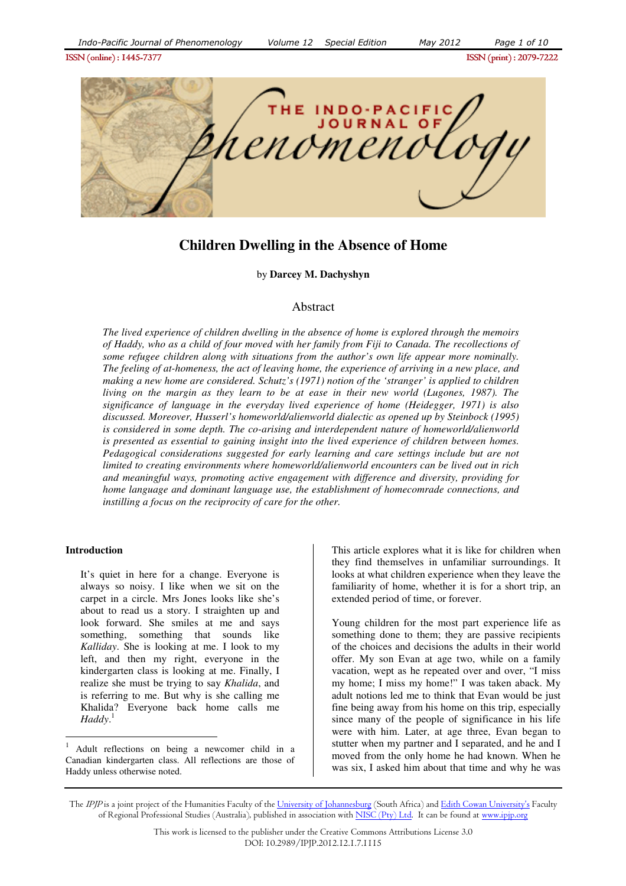

# **Children Dwelling in the Absence of Home**

by **Darcey M. Dachyshyn** 

# Abstract

*The lived experience of children dwelling in the absence of home is explored through the memoirs of Haddy, who as a child of four moved with her family from Fiji to Canada. The recollections of some refugee children along with situations from the author's own life appear more nominally. The feeling of at-homeness, the act of leaving home, the experience of arriving in a new place, and making a new home are considered. Schutz's (1971) notion of the 'stranger' is applied to children living on the margin as they learn to be at ease in their new world (Lugones, 1987). The significance of language in the everyday lived experience of home (Heidegger, 1971) is also discussed. Moreover, Husserl's homeworld/alienworld dialectic as opened up by Steinbock (1995) is considered in some depth. The co-arising and interdependent nature of homeworld/alienworld is presented as essential to gaining insight into the lived experience of children between homes. Pedagogical considerations suggested for early learning and care settings include but are not limited to creating environments where homeworld/alienworld encounters can be lived out in rich and meaningful ways, promoting active engagement with difference and diversity, providing for home language and dominant language use, the establishment of homecomrade connections, and instilling a focus on the reciprocity of care for the other.* 

## **Introduction**

 $\overline{a}$ 

It's quiet in here for a change. Everyone is always so noisy. I like when we sit on the carpet in a circle. Mrs Jones looks like she's about to read us a story. I straighten up and look forward. She smiles at me and says something, something that sounds like *Kalliday*. She is looking at me. I look to my left, and then my right, everyone in the kindergarten class is looking at me. Finally, I realize she must be trying to say *Khalida*, and is referring to me. But why is she calling me Khalida? Everyone back home calls me *Haddy*. 1

<sup>1</sup> Adult reflections on being a newcomer child in a Canadian kindergarten class. All reflections are those of Haddy unless otherwise noted.

This article explores what it is like for children when they find themselves in unfamiliar surroundings. It looks at what children experience when they leave the familiarity of home, whether it is for a short trip, an extended period of time, or forever.

Young children for the most part experience life as something done to them; they are passive recipients of the choices and decisions the adults in their world offer. My son Evan at age two, while on a family vacation, wept as he repeated over and over, "I miss my home; I miss my home!" I was taken aback. My adult notions led me to think that Evan would be just fine being away from his home on this trip, especially since many of the people of significance in his life were with him. Later, at age three, Evan began to stutter when my partner and I separated, and he and I moved from the only home he had known. When he was six, I asked him about that time and why he was

The IPJP is a joint project of the Humanities Faculty of the University of Johannesburg (South Africa) and Edith Cowan University's Faculty of Regional Professional Studies (Australia), published in association with NISC (Pty) Ltd. It can be found at www.ipip.org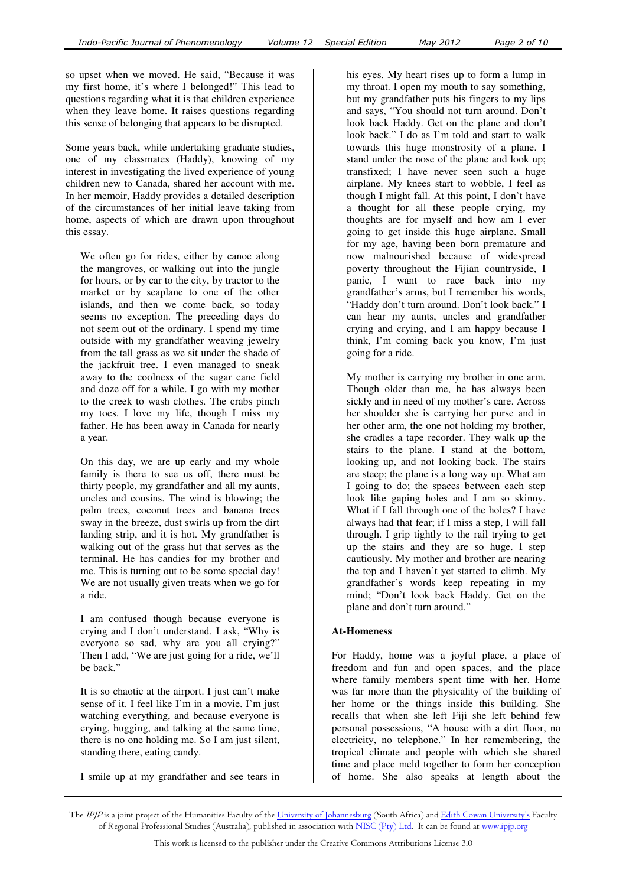so upset when we moved. He said, "Because it was my first home, it's where I belonged!" This lead to questions regarding what it is that children experience when they leave home. It raises questions regarding this sense of belonging that appears to be disrupted.

Some years back, while undertaking graduate studies, one of my classmates (Haddy), knowing of my interest in investigating the lived experience of young children new to Canada, shared her account with me. In her memoir, Haddy provides a detailed description of the circumstances of her initial leave taking from home, aspects of which are drawn upon throughout this essay.

We often go for rides, either by canoe along the mangroves, or walking out into the jungle for hours, or by car to the city, by tractor to the market or by seaplane to one of the other islands, and then we come back, so today seems no exception. The preceding days do not seem out of the ordinary. I spend my time outside with my grandfather weaving jewelry from the tall grass as we sit under the shade of the jackfruit tree. I even managed to sneak away to the coolness of the sugar cane field and doze off for a while. I go with my mother to the creek to wash clothes. The crabs pinch my toes. I love my life, though I miss my father. He has been away in Canada for nearly a year.

On this day, we are up early and my whole family is there to see us off, there must be thirty people, my grandfather and all my aunts, uncles and cousins. The wind is blowing; the palm trees, coconut trees and banana trees sway in the breeze, dust swirls up from the dirt landing strip, and it is hot. My grandfather is walking out of the grass hut that serves as the terminal. He has candies for my brother and me. This is turning out to be some special day! We are not usually given treats when we go for a ride.

I am confused though because everyone is crying and I don't understand. I ask, "Why is everyone so sad, why are you all crying?" Then I add, "We are just going for a ride, we'll be back."

It is so chaotic at the airport. I just can't make sense of it. I feel like I'm in a movie. I'm just watching everything, and because everyone is crying, hugging, and talking at the same time, there is no one holding me. So I am just silent, standing there, eating candy.

I smile up at my grandfather and see tears in

his eyes. My heart rises up to form a lump in my throat. I open my mouth to say something, but my grandfather puts his fingers to my lips and says, "You should not turn around. Don't look back Haddy. Get on the plane and don't look back." I do as I'm told and start to walk towards this huge monstrosity of a plane. I stand under the nose of the plane and look up; transfixed; I have never seen such a huge airplane. My knees start to wobble, I feel as though I might fall. At this point, I don't have a thought for all these people crying, my thoughts are for myself and how am I ever going to get inside this huge airplane. Small for my age, having been born premature and now malnourished because of widespread poverty throughout the Fijian countryside, I panic, I want to race back into my grandfather's arms, but I remember his words, "Haddy don't turn around. Don't look back." I can hear my aunts, uncles and grandfather crying and crying, and I am happy because I think, I'm coming back you know, I'm just going for a ride.

My mother is carrying my brother in one arm. Though older than me, he has always been sickly and in need of my mother's care. Across her shoulder she is carrying her purse and in her other arm, the one not holding my brother, she cradles a tape recorder. They walk up the stairs to the plane. I stand at the bottom, looking up, and not looking back. The stairs are steep; the plane is a long way up. What am I going to do; the spaces between each step look like gaping holes and I am so skinny. What if I fall through one of the holes? I have always had that fear; if I miss a step, I will fall through. I grip tightly to the rail trying to get up the stairs and they are so huge. I step cautiously. My mother and brother are nearing the top and I haven't yet started to climb. My grandfather's words keep repeating in my mind; "Don't look back Haddy. Get on the plane and don't turn around."

# **At-Homeness**

For Haddy, home was a joyful place, a place of freedom and fun and open spaces, and the place where family members spent time with her. Home was far more than the physicality of the building of her home or the things inside this building. She recalls that when she left Fiji she left behind few personal possessions, "A house with a dirt floor, no electricity, no telephone." In her remembering, the tropical climate and people with which she shared time and place meld together to form her conception of home. She also speaks at length about the

The IPJP is a joint project of the Humanities Faculty of the University of Johannesburg (South Africa) and Edith Cowan University's Faculty of Regional Professional Studies (Australia), published in association with NISC (Pty) Ltd. It can be found at www.ipjp.org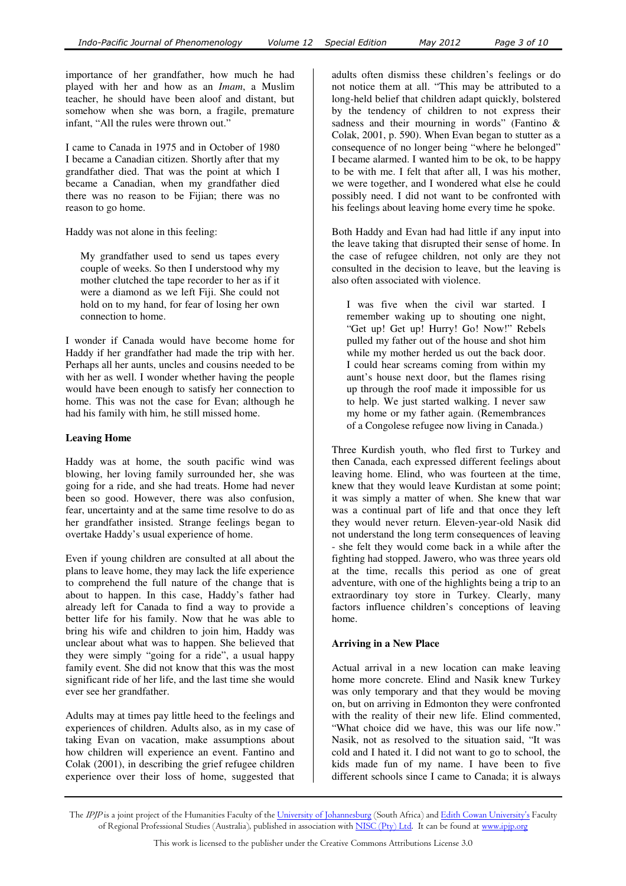importance of her grandfather, how much he had played with her and how as an *Imam*, a Muslim teacher, he should have been aloof and distant, but somehow when she was born, a fragile, premature

I came to Canada in 1975 and in October of 1980 I became a Canadian citizen. Shortly after that my grandfather died. That was the point at which I became a Canadian, when my grandfather died there was no reason to be Fijian; there was no reason to go home.

Haddy was not alone in this feeling:

infant, "All the rules were thrown out."

My grandfather used to send us tapes every couple of weeks. So then I understood why my mother clutched the tape recorder to her as if it were a diamond as we left Fiji. She could not hold on to my hand, for fear of losing her own connection to home.

I wonder if Canada would have become home for Haddy if her grandfather had made the trip with her. Perhaps all her aunts, uncles and cousins needed to be with her as well. I wonder whether having the people would have been enough to satisfy her connection to home. This was not the case for Evan; although he had his family with him, he still missed home.

# **Leaving Home**

Haddy was at home, the south pacific wind was blowing, her loving family surrounded her, she was going for a ride, and she had treats. Home had never been so good. However, there was also confusion, fear, uncertainty and at the same time resolve to do as her grandfather insisted. Strange feelings began to overtake Haddy's usual experience of home.

Even if young children are consulted at all about the plans to leave home, they may lack the life experience to comprehend the full nature of the change that is about to happen. In this case, Haddy's father had already left for Canada to find a way to provide a better life for his family. Now that he was able to bring his wife and children to join him, Haddy was unclear about what was to happen. She believed that they were simply "going for a ride", a usual happy family event. She did not know that this was the most significant ride of her life, and the last time she would ever see her grandfather.

Adults may at times pay little heed to the feelings and experiences of children. Adults also, as in my case of taking Evan on vacation, make assumptions about how children will experience an event. Fantino and Colak (2001), in describing the grief refugee children experience over their loss of home, suggested that adults often dismiss these children's feelings or do not notice them at all. "This may be attributed to a long-held belief that children adapt quickly, bolstered by the tendency of children to not express their sadness and their mourning in words" (Fantino & Colak, 2001, p. 590). When Evan began to stutter as a consequence of no longer being "where he belonged" I became alarmed. I wanted him to be ok, to be happy to be with me. I felt that after all, I was his mother, we were together, and I wondered what else he could possibly need. I did not want to be confronted with his feelings about leaving home every time he spoke.

Both Haddy and Evan had had little if any input into the leave taking that disrupted their sense of home. In the case of refugee children, not only are they not consulted in the decision to leave, but the leaving is also often associated with violence.

I was five when the civil war started. I remember waking up to shouting one night, "Get up! Get up! Hurry! Go! Now!" Rebels pulled my father out of the house and shot him while my mother herded us out the back door. I could hear screams coming from within my aunt's house next door, but the flames rising up through the roof made it impossible for us to help. We just started walking. I never saw my home or my father again. (Remembrances of a Congolese refugee now living in Canada.)

Three Kurdish youth, who fled first to Turkey and then Canada, each expressed different feelings about leaving home. Elind, who was fourteen at the time, knew that they would leave Kurdistan at some point; it was simply a matter of when. She knew that war was a continual part of life and that once they left they would never return. Eleven-year-old Nasik did not understand the long term consequences of leaving - she felt they would come back in a while after the fighting had stopped. Jawero, who was three years old at the time, recalls this period as one of great adventure, with one of the highlights being a trip to an extraordinary toy store in Turkey. Clearly, many factors influence children's conceptions of leaving home.

### **Arriving in a New Place**

Actual arrival in a new location can make leaving home more concrete. Elind and Nasik knew Turkey was only temporary and that they would be moving on, but on arriving in Edmonton they were confronted with the reality of their new life. Elind commented, "What choice did we have, this was our life now." Nasik, not as resolved to the situation said, "It was cold and I hated it. I did not want to go to school, the kids made fun of my name. I have been to five different schools since I came to Canada; it is always

The *IPJP* is a joint project of the Humanities Faculty of the <u>University of Johannesburg</u> (South Africa) and <u>Edith Cowan University's</u> Faculty of Regional Professional Studies (Australia), published in association with <u>NISC (Pty) Ltd</u>. It can be found at <u>www.ipjp.org</u>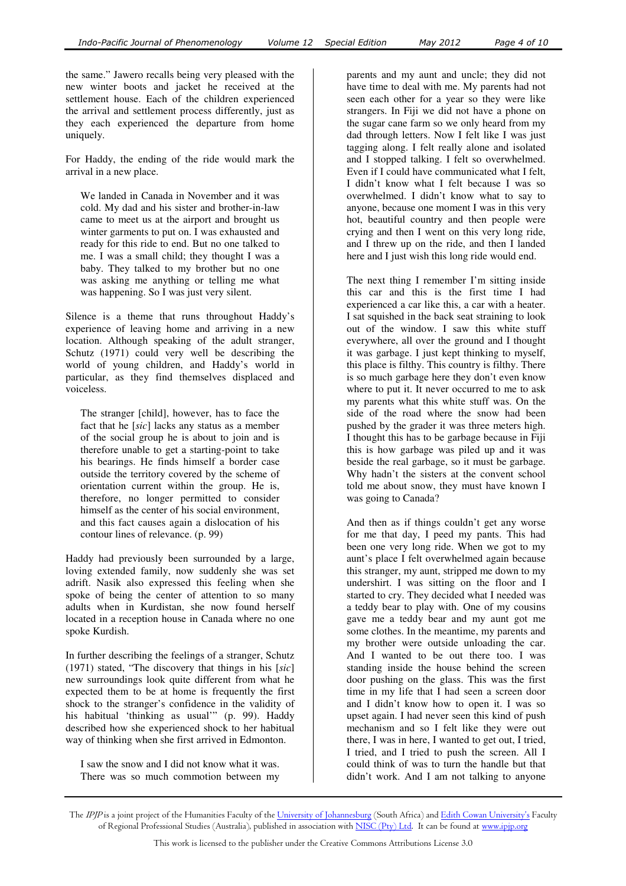the same." Jawero recalls being very pleased with the new winter boots and jacket he received at the settlement house. Each of the children experienced the arrival and settlement process differently, just as they each experienced the departure from home uniquely.

For Haddy, the ending of the ride would mark the arrival in a new place.

We landed in Canada in November and it was cold. My dad and his sister and brother-in-law came to meet us at the airport and brought us winter garments to put on. I was exhausted and ready for this ride to end. But no one talked to me. I was a small child; they thought I was a baby. They talked to my brother but no one was asking me anything or telling me what was happening. So I was just very silent.

Silence is a theme that runs throughout Haddy's experience of leaving home and arriving in a new location. Although speaking of the adult stranger, Schutz (1971) could very well be describing the world of young children, and Haddy's world in particular, as they find themselves displaced and voiceless.

The stranger [child], however, has to face the fact that he [*sic*] lacks any status as a member of the social group he is about to join and is therefore unable to get a starting-point to take his bearings. He finds himself a border case outside the territory covered by the scheme of orientation current within the group. He is, therefore, no longer permitted to consider himself as the center of his social environment, and this fact causes again a dislocation of his contour lines of relevance. (p. 99)

Haddy had previously been surrounded by a large, loving extended family, now suddenly she was set adrift. Nasik also expressed this feeling when she spoke of being the center of attention to so many adults when in Kurdistan, she now found herself located in a reception house in Canada where no one spoke Kurdish.

In further describing the feelings of a stranger, Schutz (1971) stated, "The discovery that things in his [*sic*] new surroundings look quite different from what he expected them to be at home is frequently the first shock to the stranger's confidence in the validity of his habitual 'thinking as usual'" (p. 99). Haddy described how she experienced shock to her habitual way of thinking when she first arrived in Edmonton.

I saw the snow and I did not know what it was. There was so much commotion between my parents and my aunt and uncle; they did not have time to deal with me. My parents had not seen each other for a year so they were like strangers. In Fiji we did not have a phone on the sugar cane farm so we only heard from my dad through letters. Now I felt like I was just tagging along. I felt really alone and isolated and I stopped talking. I felt so overwhelmed. Even if I could have communicated what I felt, I didn't know what I felt because I was so overwhelmed. I didn't know what to say to anyone, because one moment I was in this very hot, beautiful country and then people were crying and then I went on this very long ride, and I threw up on the ride, and then I landed here and I just wish this long ride would end.

The next thing I remember I'm sitting inside this car and this is the first time I had experienced a car like this, a car with a heater. I sat squished in the back seat straining to look out of the window. I saw this white stuff everywhere, all over the ground and I thought it was garbage. I just kept thinking to myself, this place is filthy. This country is filthy. There is so much garbage here they don't even know where to put it. It never occurred to me to ask my parents what this white stuff was. On the side of the road where the snow had been pushed by the grader it was three meters high. I thought this has to be garbage because in Fiji this is how garbage was piled up and it was beside the real garbage, so it must be garbage. Why hadn't the sisters at the convent school told me about snow, they must have known I was going to Canada?

And then as if things couldn't get any worse for me that day, I peed my pants. This had been one very long ride. When we got to my aunt's place I felt overwhelmed again because this stranger, my aunt, stripped me down to my undershirt. I was sitting on the floor and I started to cry. They decided what I needed was a teddy bear to play with. One of my cousins gave me a teddy bear and my aunt got me some clothes. In the meantime, my parents and my brother were outside unloading the car. And I wanted to be out there too. I was standing inside the house behind the screen door pushing on the glass. This was the first time in my life that I had seen a screen door and I didn't know how to open it. I was so upset again. I had never seen this kind of push mechanism and so I felt like they were out there, I was in here, I wanted to get out, I tried, I tried, and I tried to push the screen. All I could think of was to turn the handle but that didn't work. And I am not talking to anyone

The *IPJP* is a joint project of the Humanities Faculty of the <u>University of Johannesburg</u> (South Africa) and <u>Edith Cowan University's</u> Faculty of Regional Professional Studies (Australia), published in association with <u>NISC (Pty) Ltd</u>. It can be found at <u>www.ipjp.org</u>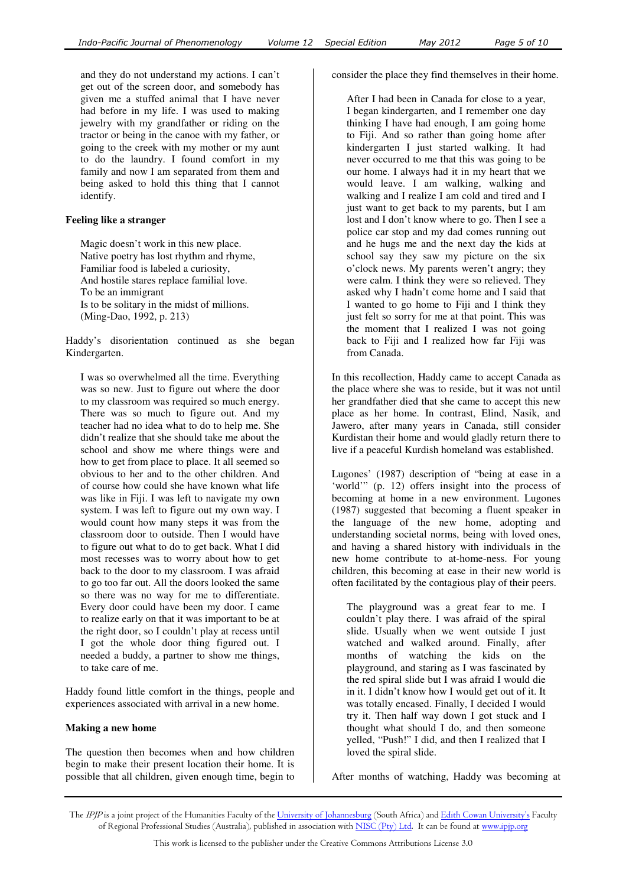and they do not understand my actions. I can't get out of the screen door, and somebody has given me a stuffed animal that I have never had before in my life. I was used to making jewelry with my grandfather or riding on the tractor or being in the canoe with my father, or going to the creek with my mother or my aunt to do the laundry. I found comfort in my family and now I am separated from them and being asked to hold this thing that I cannot identify.

# **Feeling like a stranger**

Magic doesn't work in this new place. Native poetry has lost rhythm and rhyme, Familiar food is labeled a curiosity, And hostile stares replace familial love. To be an immigrant Is to be solitary in the midst of millions. (Ming-Dao, 1992, p. 213)

Haddy's disorientation continued as she began Kindergarten.

I was so overwhelmed all the time. Everything was so new. Just to figure out where the door to my classroom was required so much energy. There was so much to figure out. And my teacher had no idea what to do to help me. She didn't realize that she should take me about the school and show me where things were and how to get from place to place. It all seemed so obvious to her and to the other children. And of course how could she have known what life was like in Fiji. I was left to navigate my own system. I was left to figure out my own way. I would count how many steps it was from the classroom door to outside. Then I would have to figure out what to do to get back. What I did most recesses was to worry about how to get back to the door to my classroom. I was afraid to go too far out. All the doors looked the same so there was no way for me to differentiate. Every door could have been my door. I came to realize early on that it was important to be at the right door, so I couldn't play at recess until I got the whole door thing figured out. I needed a buddy, a partner to show me things, to take care of me.

Haddy found little comfort in the things, people and experiences associated with arrival in a new home.

# **Making a new home**

The question then becomes when and how children begin to make their present location their home. It is possible that all children, given enough time, begin to

consider the place they find themselves in their home.

After I had been in Canada for close to a year, I began kindergarten, and I remember one day thinking I have had enough, I am going home to Fiji. And so rather than going home after kindergarten I just started walking. It had never occurred to me that this was going to be our home. I always had it in my heart that we would leave. I am walking, walking and walking and I realize I am cold and tired and I just want to get back to my parents, but I am lost and I don't know where to go. Then I see a police car stop and my dad comes running out and he hugs me and the next day the kids at school say they saw my picture on the six o'clock news. My parents weren't angry; they were calm. I think they were so relieved. They asked why I hadn't come home and I said that I wanted to go home to Fiji and I think they just felt so sorry for me at that point. This was the moment that I realized I was not going back to Fiji and I realized how far Fiji was from Canada.

In this recollection, Haddy came to accept Canada as the place where she was to reside, but it was not until her grandfather died that she came to accept this new place as her home. In contrast, Elind, Nasik, and Jawero, after many years in Canada, still consider Kurdistan their home and would gladly return there to live if a peaceful Kurdish homeland was established.

Lugones' (1987) description of "being at ease in a 'world'" (p. 12) offers insight into the process of becoming at home in a new environment. Lugones (1987) suggested that becoming a fluent speaker in the language of the new home, adopting and understanding societal norms, being with loved ones, and having a shared history with individuals in the new home contribute to at-home-ness. For young children, this becoming at ease in their new world is often facilitated by the contagious play of their peers.

The playground was a great fear to me. I couldn't play there. I was afraid of the spiral slide. Usually when we went outside I just watched and walked around. Finally, after months of watching the kids on the playground, and staring as I was fascinated by the red spiral slide but I was afraid I would die in it. I didn't know how I would get out of it. It was totally encased. Finally, I decided I would try it. Then half way down I got stuck and I thought what should I do, and then someone yelled, "Push!" I did, and then I realized that I loved the spiral slide.

After months of watching, Haddy was becoming at

The *IPJP* is a joint project of the Humanities Faculty of the <u>University of Johannesburg</u> (South Africa) and <u>Edith Cowan University's</u> Faculty of Regional Professional Studies (Australia), published in association with <u>NISC (Pty) Ltd</u>. It can be found at <u>www.ipjp.org</u>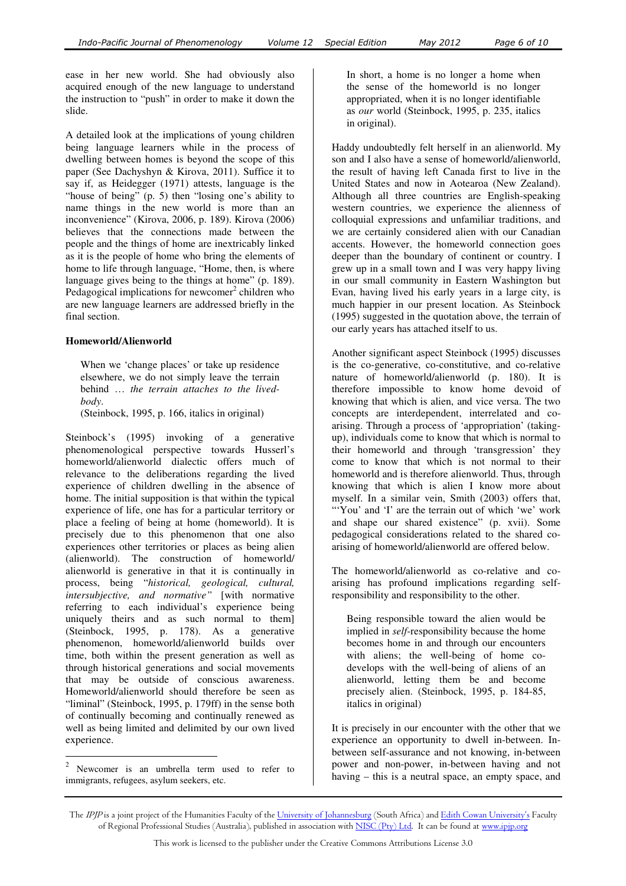ease in her new world. She had obviously also acquired enough of the new language to understand the instruction to "push" in order to make it down the slide.

A detailed look at the implications of young children being language learners while in the process of dwelling between homes is beyond the scope of this paper (See Dachyshyn & Kirova, 2011). Suffice it to say if, as Heidegger (1971) attests, language is the "house of being" (p. 5) then "losing one's ability to name things in the new world is more than an inconvenience" (Kirova, 2006, p. 189). Kirova (2006) believes that the connections made between the people and the things of home are inextricably linked as it is the people of home who bring the elements of home to life through language, "Home, then, is where language gives being to the things at home" (p. 189). Pedagogical implications for newcomer $2$  children who are new language learners are addressed briefly in the final section.

# **Homeworld/Alienworld**

When we 'change places' or take up residence elsewhere, we do not simply leave the terrain behind … *the terrain attaches to the livedbody*.

(Steinbock, 1995, p. 166, italics in original)

Steinbock's (1995) invoking of a generative phenomenological perspective towards Husserl's homeworld/alienworld dialectic offers much of relevance to the deliberations regarding the lived experience of children dwelling in the absence of home. The initial supposition is that within the typical experience of life, one has for a particular territory or place a feeling of being at home (homeworld). It is precisely due to this phenomenon that one also experiences other territories or places as being alien (alienworld). The construction of homeworld/ alienworld is generative in that it is continually in process, being "*historical, geological, cultural, intersubjective, and normative"* [with normative referring to each individual's experience being uniquely theirs and as such normal to them] (Steinbock, 1995, p. 178). As a generative phenomenon, homeworld/alienworld builds over time, both within the present generation as well as through historical generations and social movements that may be outside of conscious awareness. Homeworld/alienworld should therefore be seen as "liminal" (Steinbock, 1995, p. 179ff) in the sense both of continually becoming and continually renewed as well as being limited and delimited by our own lived experience.

<sup>2</sup> Newcomer is an umbrella term used to refer to immigrants, refugees, asylum seekers, etc.

 $\overline{a}$ 

In short, a home is no longer a home when the sense of the homeworld is no longer appropriated, when it is no longer identifiable as *our* world (Steinbock, 1995, p. 235, italics in original).

Haddy undoubtedly felt herself in an alienworld. My son and I also have a sense of homeworld/alienworld, the result of having left Canada first to live in the United States and now in Aotearoa (New Zealand). Although all three countries are English-speaking western countries, we experience the alienness of colloquial expressions and unfamiliar traditions, and we are certainly considered alien with our Canadian accents. However, the homeworld connection goes deeper than the boundary of continent or country. I grew up in a small town and I was very happy living in our small community in Eastern Washington but Evan, having lived his early years in a large city, is much happier in our present location. As Steinbock (1995) suggested in the quotation above, the terrain of our early years has attached itself to us.

Another significant aspect Steinbock (1995) discusses is the co-generative, co-constitutive, and co-relative nature of homeworld/alienworld (p. 180). It is therefore impossible to know home devoid of knowing that which is alien, and vice versa. The two concepts are interdependent, interrelated and coarising. Through a process of 'appropriation' (takingup), individuals come to know that which is normal to their homeworld and through 'transgression' they come to know that which is not normal to their homeworld and is therefore alienworld. Thus, through knowing that which is alien I know more about myself. In a similar vein, Smith (2003) offers that, "'You' and 'I' are the terrain out of which 'we' work and shape our shared existence" (p. xvii). Some pedagogical considerations related to the shared coarising of homeworld/alienworld are offered below.

The homeworld/alienworld as co-relative and coarising has profound implications regarding selfresponsibility and responsibility to the other.

Being responsible toward the alien would be implied in *self*-responsibility because the home becomes home in and through our encounters with aliens; the well-being of home codevelops with the well-being of aliens of an alienworld, letting them be and become precisely alien. (Steinbock, 1995, p. 184-85, italics in original)

It is precisely in our encounter with the other that we experience an opportunity to dwell in-between. Inbetween self-assurance and not knowing, in-between power and non-power, in-between having and not having – this is a neutral space, an empty space, and

The IPJP is a joint project of the Humanities Faculty of the University of Johannesburg (South Africa) and Edith Cowan University's Faculty of Regional Professional Studies (Australia), published in association with NISC (Pty) Ltd. It can be found at www.ipjp.org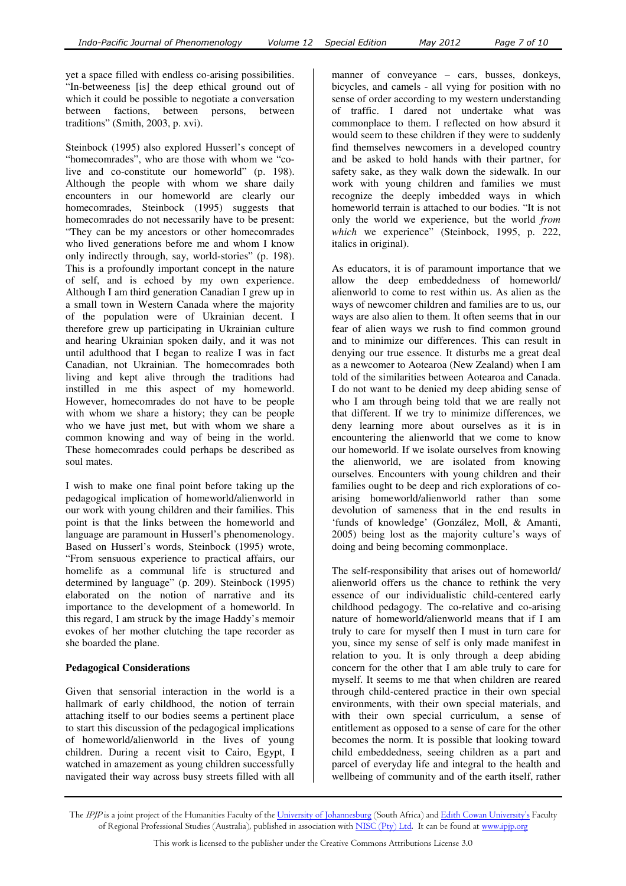yet a space filled with endless co-arising possibilities. "In-betweeness [is] the deep ethical ground out of which it could be possible to negotiate a conversation between factions, between persons, between traditions" (Smith, 2003, p. xvi).

Steinbock (1995) also explored Husserl's concept of "homecomrades", who are those with whom we "colive and co-constitute our homeworld" (p. 198). Although the people with whom we share daily encounters in our homeworld are clearly our homecomrades, Steinbock (1995) suggests that homecomrades do not necessarily have to be present: "They can be my ancestors or other homecomrades who lived generations before me and whom I know only indirectly through, say, world-stories" (p. 198). This is a profoundly important concept in the nature of self, and is echoed by my own experience. Although I am third generation Canadian I grew up in a small town in Western Canada where the majority of the population were of Ukrainian decent. I therefore grew up participating in Ukrainian culture and hearing Ukrainian spoken daily, and it was not until adulthood that I began to realize I was in fact Canadian, not Ukrainian. The homecomrades both living and kept alive through the traditions had instilled in me this aspect of my homeworld. However, homecomrades do not have to be people with whom we share a history; they can be people who we have just met, but with whom we share a common knowing and way of being in the world. These homecomrades could perhaps be described as soul mates.

I wish to make one final point before taking up the pedagogical implication of homeworld/alienworld in our work with young children and their families. This point is that the links between the homeworld and language are paramount in Husserl's phenomenology. Based on Husserl's words, Steinbock (1995) wrote, "From sensuous experience to practical affairs, our homelife as a communal life is structured and determined by language" (p. 209). Steinbock (1995) elaborated on the notion of narrative and its importance to the development of a homeworld. In this regard, I am struck by the image Haddy's memoir evokes of her mother clutching the tape recorder as she boarded the plane.

### **Pedagogical Considerations**

Given that sensorial interaction in the world is a hallmark of early childhood, the notion of terrain attaching itself to our bodies seems a pertinent place to start this discussion of the pedagogical implications of homeworld/alienworld in the lives of young children. During a recent visit to Cairo, Egypt, I watched in amazement as young children successfully navigated their way across busy streets filled with all

manner of conveyance – cars, busses, donkeys, bicycles, and camels - all vying for position with no sense of order according to my western understanding of traffic. I dared not undertake what was commonplace to them. I reflected on how absurd it would seem to these children if they were to suddenly find themselves newcomers in a developed country and be asked to hold hands with their partner, for safety sake, as they walk down the sidewalk. In our work with young children and families we must recognize the deeply imbedded ways in which homeworld terrain is attached to our bodies. "It is not only the world we experience, but the world *from which* we experience" (Steinbock, 1995, p. 222, italics in original).

As educators, it is of paramount importance that we allow the deep embeddedness of homeworld/ alienworld to come to rest within us. As alien as the ways of newcomer children and families are to us, our ways are also alien to them. It often seems that in our fear of alien ways we rush to find common ground and to minimize our differences. This can result in denying our true essence. It disturbs me a great deal as a newcomer to Aotearoa (New Zealand) when I am told of the similarities between Aotearoa and Canada. I do not want to be denied my deep abiding sense of who I am through being told that we are really not that different. If we try to minimize differences, we deny learning more about ourselves as it is in encountering the alienworld that we come to know our homeworld. If we isolate ourselves from knowing the alienworld, we are isolated from knowing ourselves. Encounters with young children and their families ought to be deep and rich explorations of coarising homeworld/alienworld rather than some devolution of sameness that in the end results in 'funds of knowledge' (González, Moll, & Amanti, 2005) being lost as the majority culture's ways of doing and being becoming commonplace.

The self-responsibility that arises out of homeworld/ alienworld offers us the chance to rethink the very essence of our individualistic child-centered early childhood pedagogy. The co-relative and co-arising nature of homeworld/alienworld means that if I am truly to care for myself then I must in turn care for you, since my sense of self is only made manifest in relation to you. It is only through a deep abiding concern for the other that I am able truly to care for myself. It seems to me that when children are reared through child-centered practice in their own special environments, with their own special materials, and with their own special curriculum, a sense of entitlement as opposed to a sense of care for the other becomes the norm. It is possible that looking toward child embeddedness, seeing children as a part and parcel of everyday life and integral to the health and wellbeing of community and of the earth itself, rather

The IPJP is a joint project of the Humanities Faculty of the University of Johannesburg (South Africa) and Edith Cowan University's Faculty of Regional Professional Studies (Australia), published in association with NISC (Pty) Ltd. It can be found at www.ipjp.org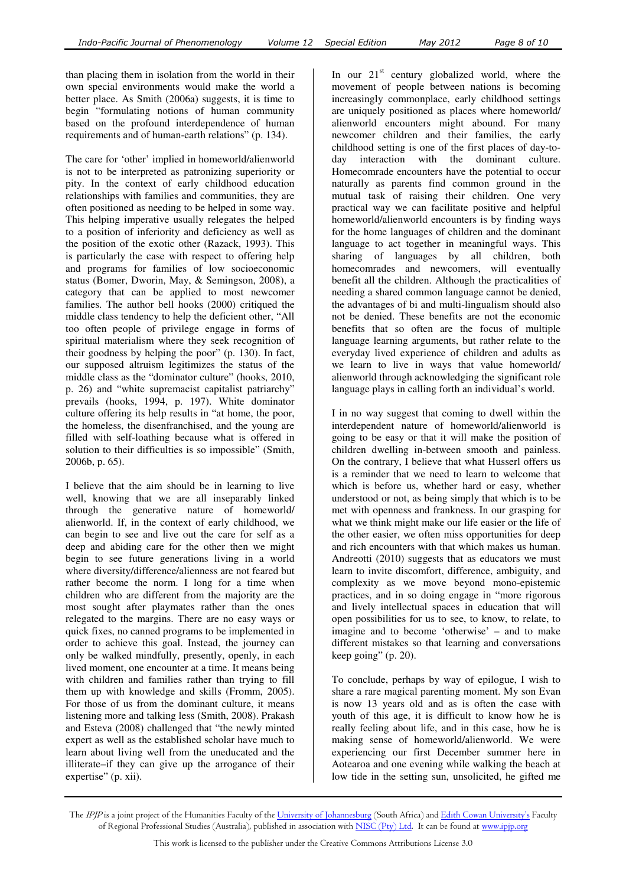than placing them in isolation from the world in their own special environments would make the world a better place. As Smith (2006a) suggests, it is time to begin "formulating notions of human community based on the profound interdependence of human requirements and of human-earth relations" (p. 134).

The care for 'other' implied in homeworld/alienworld is not to be interpreted as patronizing superiority or pity. In the context of early childhood education relationships with families and communities, they are often positioned as needing to be helped in some way. This helping imperative usually relegates the helped to a position of inferiority and deficiency as well as the position of the exotic other (Razack, 1993). This is particularly the case with respect to offering help and programs for families of low socioeconomic status (Bomer, Dworin, May, & Semingson, 2008), a category that can be applied to most newcomer families. The author bell hooks (2000) critiqued the middle class tendency to help the deficient other, "All too often people of privilege engage in forms of spiritual materialism where they seek recognition of their goodness by helping the poor" (p. 130). In fact, our supposed altruism legitimizes the status of the middle class as the "dominator culture" (hooks, 2010, p. 26) and "white supremacist capitalist patriarchy" prevails (hooks, 1994, p. 197). White dominator culture offering its help results in "at home, the poor, the homeless, the disenfranchised, and the young are filled with self-loathing because what is offered in solution to their difficulties is so impossible" (Smith, 2006b, p. 65).

I believe that the aim should be in learning to live well, knowing that we are all inseparably linked through the generative nature of homeworld/ alienworld. If, in the context of early childhood, we can begin to see and live out the care for self as a deep and abiding care for the other then we might begin to see future generations living in a world where diversity/difference/alienness are not feared but rather become the norm. I long for a time when children who are different from the majority are the most sought after playmates rather than the ones relegated to the margins. There are no easy ways or quick fixes, no canned programs to be implemented in order to achieve this goal. Instead, the journey can only be walked mindfully, presently, openly, in each lived moment, one encounter at a time. It means being with children and families rather than trying to fill them up with knowledge and skills (Fromm, 2005). For those of us from the dominant culture, it means listening more and talking less (Smith, 2008). Prakash and Esteva (2008) challenged that "the newly minted expert as well as the established scholar have much to learn about living well from the uneducated and the illiterate–if they can give up the arrogance of their expertise" (p. xii).

In our  $21<sup>st</sup>$  century globalized world, where the movement of people between nations is becoming increasingly commonplace, early childhood settings are uniquely positioned as places where homeworld/ alienworld encounters might abound. For many newcomer children and their families, the early childhood setting is one of the first places of day-today interaction with the dominant culture. Homecomrade encounters have the potential to occur naturally as parents find common ground in the mutual task of raising their children. One very practical way we can facilitate positive and helpful homeworld/alienworld encounters is by finding ways for the home languages of children and the dominant language to act together in meaningful ways. This sharing of languages by all children, both homecomrades and newcomers, will eventually benefit all the children. Although the practicalities of needing a shared common language cannot be denied, the advantages of bi and multi-lingualism should also not be denied. These benefits are not the economic benefits that so often are the focus of multiple language learning arguments, but rather relate to the everyday lived experience of children and adults as we learn to live in ways that value homeworld/ alienworld through acknowledging the significant role language plays in calling forth an individual's world.

I in no way suggest that coming to dwell within the interdependent nature of homeworld/alienworld is going to be easy or that it will make the position of children dwelling in-between smooth and painless. On the contrary, I believe that what Husserl offers us is a reminder that we need to learn to welcome that which is before us, whether hard or easy, whether understood or not, as being simply that which is to be met with openness and frankness. In our grasping for what we think might make our life easier or the life of the other easier, we often miss opportunities for deep and rich encounters with that which makes us human. Andreotti (2010) suggests that as educators we must learn to invite discomfort, difference, ambiguity, and complexity as we move beyond mono-epistemic practices, and in so doing engage in "more rigorous and lively intellectual spaces in education that will open possibilities for us to see, to know, to relate, to imagine and to become 'otherwise' – and to make different mistakes so that learning and conversations keep going" (p. 20).

To conclude, perhaps by way of epilogue, I wish to share a rare magical parenting moment. My son Evan is now 13 years old and as is often the case with youth of this age, it is difficult to know how he is really feeling about life, and in this case, how he is making sense of homeworld/alienworld. We were experiencing our first December summer here in Aotearoa and one evening while walking the beach at low tide in the setting sun, unsolicited, he gifted me

The IPJP is a joint project of the Humanities Faculty of the University of Johannesburg (South Africa) and Edith Cowan University's Faculty of Regional Professional Studies (Australia), published in association with NISC (Pty) Ltd. It can be found at www.ipjp.org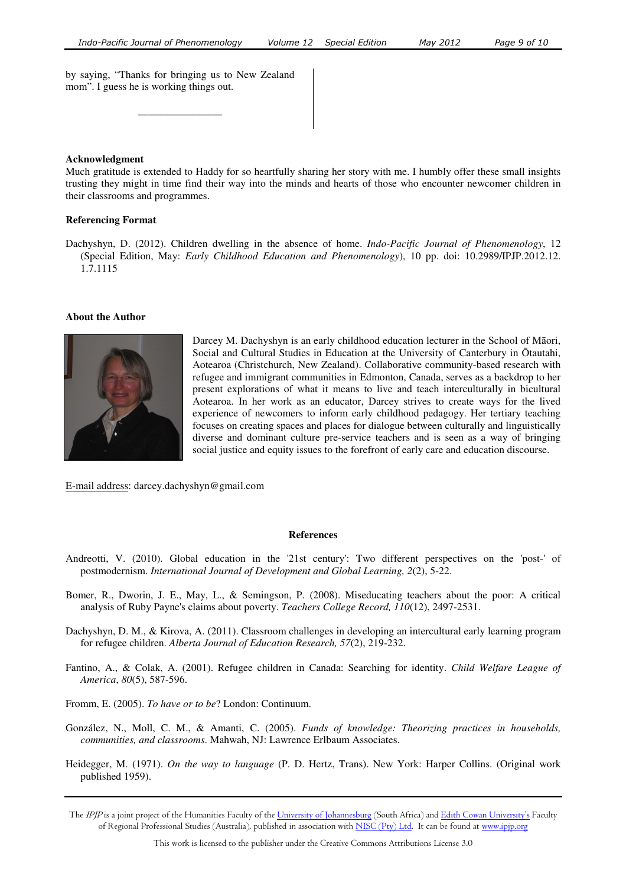by saying, "Thanks for bringing us to New Zealand mom". I guess he is working things out.

\_\_\_\_\_\_\_\_\_\_\_\_\_\_\_\_

#### **Acknowledgment**

Much gratitude is extended to Haddy for so heartfully sharing her story with me. I humbly offer these small insights trusting they might in time find their way into the minds and hearts of those who encounter newcomer children in their classrooms and programmes.

## **Referencing Format**

Dachyshyn, D. (2012). Children dwelling in the absence of home. *Indo-Pacific Journal of Phenomenology*, 12 (Special Edition, May: *Early Childhood Education and Phenomenology*), 10 pp. doi: 10.2989/IPJP.2012.12. 1.7.1115

#### **About the Author**



Darcey M. Dachyshyn is an early childhood education lecturer in the School of Māori, Social and Cultural Studies in Education at the University of Canterbury in Ōtautahi, Aotearoa (Christchurch, New Zealand). Collaborative community-based research with refugee and immigrant communities in Edmonton, Canada, serves as a backdrop to her present explorations of what it means to live and teach interculturally in bicultural Aotearoa. In her work as an educator, Darcey strives to create ways for the lived experience of newcomers to inform early childhood pedagogy. Her tertiary teaching focuses on creating spaces and places for dialogue between culturally and linguistically diverse and dominant culture pre-service teachers and is seen as a way of bringing social justice and equity issues to the forefront of early care and education discourse.

E-mail address: darcey.dachyshyn@gmail.com

### **References**

- Andreotti, V. (2010). Global education in the '21st century': Two different perspectives on the 'post-' of postmodernism. *International Journal of Development and Global Learning, 2*(2), 5-22.
- Bomer, R., Dworin, J. E., May, L., & Semingson, P. (2008). Miseducating teachers about the poor: A critical analysis of Ruby Payne's claims about poverty. *Teachers College Record, 110*(12), 2497-2531.
- Dachyshyn, D. M., & Kirova, A. (2011). Classroom challenges in developing an intercultural early learning program for refugee children. *Alberta Journal of Education Research, 57*(2), 219-232.
- Fantino, A., & Colak, A. (2001). Refugee children in Canada: Searching for identity. *Child Welfare League of America*, *80*(5), 587-596.
- Fromm, E. (2005). *To have or to be*? London: Continuum.
- González, N., Moll, C. M., & Amanti, C. (2005). *Funds of knowledge: Theorizing practices in households, communities, and classrooms*. Mahwah, NJ: Lawrence Erlbaum Associates.
- Heidegger, M. (1971). *On the way to language* (P. D. Hertz, Trans). New York: Harper Collins. (Original work published 1959).

The IPJP is a joint project of the Humanities Faculty of the University of Johannesburg (South Africa) and Edith Cowan University's Faculty of Regional Professional Studies (Australia), published in association with NISC (Pty) Ltd. It can be found at www.ipjp.org